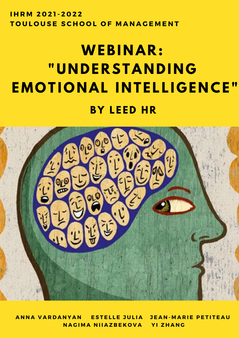**I H R M 2 0 2 1 - 2 0 2 2 TOULOUSE SCHOOL OF MANAGEMENT** 

# $WEBINAR$ : **" U N D E R STA N D I N G EMOTIONAL INTELLIGENCE" B Y L E E D HR**



ANNA VARDANYAN ESTELLE JULIA JEAN-MARIE PETITEAU **N A G I M A N I I A Z B E K O V A Y I Z H A N G**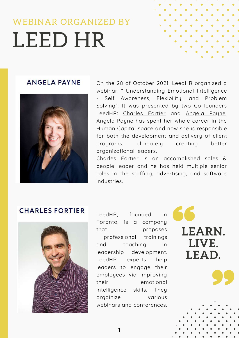## WEBINAR ORGANIZED BY LEED HR

#### **ANGELA PAYNE**



On the 28 of October 2021, LeedHR organized a webinar: " Understanding Emotional Intelligence Self Awareness, Flexibility, and Problem Solving". It was presented by two Co-founders LeedHR: Charles Fortier and Angela Payne. Angela Payne has spent her whole career in the Human Capital space and now she is responsible for both the development and delivery of client programs, ultimately creating better organizational leaders.

Charles Fortier is an accomplished sales & people leader and he has held multiple senior roles in the staffing, advertising, and software industries.

### **CHARLES FORTIER**



LeedHR, founded in Toronto, is a company that proposes professional trainings and coaching in leadership development. LeedHR experts help leaders to engage their employees via improving their emotional intelligence skills. They orgainize various webinars and conferences.



1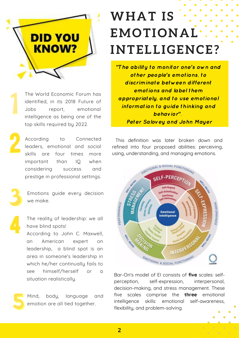

The World Economic Forum has identified, in its 2018 Future of Jobs report, emotional intelligence as being one of the top skills required by 2022.

According to Connected leaders, emotional and social skills are four times more important than IQ when considering success and prestige in professional settings.

Emotions guide every decision we make.

The reality of leadership: we all have blind spots!

According to John C. Maxwell, an American expert on leadership, a blind spot is an area in someone's leadership in which he/her continually fails to see himself/herself or a situation realistically.

Mind, body, language and emotion are all tied together.

## **WHAT I S EMOTIONAL INTELLIGENCE?**

"The ability to monitor one's own and other people's emotions, to discriminate between different emotions and label them appropriately, and to use emotional information to guide thinking and behavior". Peter Salovey and John Mayer

This definition was later broken down and refined into four proposed abilities: perceiving, using, understanding, and managing emotions.



Bar-On's model of EI consists of **five** scales: selfperception, self-expression, interpersonal, decision-making, and stress management. These five scales comprise the **three** emotional intelligence skills: emotional self-awareness, flexibility, and problem-solving.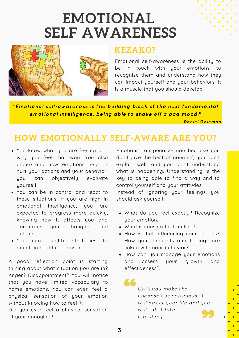## **EMOTIONAL SELF AWARENESS**



### **KEZAKO?**

Emotional self-awareness is the ability to be in touch with your emotions: to recognize them and understand how they can impact yourself and your behaviors. It is a muscle that you should develop!

"Emotional self-awareness is the building block of the next fundamental emotional intelligence: being able to shake off a bad mood."

Daniel Goleman

## **HOW EMOTIONALLY SELF-AWARE ARE YOU?**

You know what you are feeling and why you feel that way. You also understand how emotions help or hurt your actions and your behavior. you can objectively evaluate yourself.

.

- You can be in control and react to these situations. If you are high in emotional intelligence, you are expected to progress more quickly, knowing how it affects you and dominates your thoughts and actions.
- You can identify strategies to maintain healthy behavior.

A good reflection point is starting thining about what situation you are in? Anger? Disappointment? You will notice that you have limited vocabulary to name emotions. You can even feel a physical sensation of your emotion without knowing how to feel it.

Did you ever feel a physical sensation of your annoying?

Emotions can penalize you because you don't give the best of yourself, you don't explain well, and you don't understand what is happening. Understanding is the key to being able to find a way and to control yourself and your attitudes.

Instead of ignoring your feelings, you should ask yourself:

- What do you feel exactly? Recognize your emotion.
- What is causing that feeling?
- How is that influencing your actions? How your thoughts and feelings are linked with your behavior?
- How can you manage your emotions and assess your growth and effectiveness?.

Until you make the unconscious conscious, it will direct your life and you will call it fate. C.G. Jung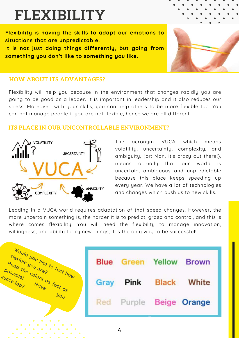## **FLEXIBILITY**

**Flexibility is having the skills to adapt our emotions to situations that are unpredictable. It is not just doing things differently, but going from**

**something you don't like to something you like.**

#### **HOW ABOUT ITS ADVANTAGES?**

Flexibility will help you because in the environment that changes rapidly you are going to be good as a leader. It is important in leadership and it also reduces our stress. Moreover, with your skills, you can help others to be more flexible too. You can not manage people if you are not flexible, hence we are all different.

#### **ITS PLACE IN OUR UNCONTROLLABLE ENVIRONMENT?**



The acronym VUCA which means volatility, uncertainty, complexity, and ambiguity, (or: Man, it's crazy out there!), means actually that our world is uncertain, ambiguous and unpredictable because this place keeps speeding up every year. We have a lot of technologies and changes which push us to new skills.

Leading in a VUCA world requires adaptation of that speed changes. However, the more uncertain something is, the harder it is to predict, grasp and control, and this is where comes flexibility! You will need the flexibility to manage innovation, willingness, and ability to try new things, it is the only way to be successful!

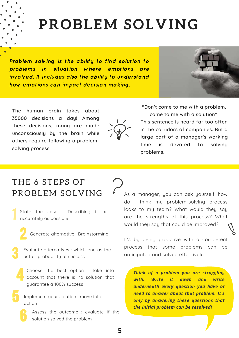## **PROBLEM SOLVING**

Problem solving is the ability to find solution to problems in situation where emotions are involved. It includes also the ability to understand how emotions can impact decision making.



The human brain takes about 35000 decisions a day! Among these decisions, many are made unconsciously by the brain while others require following a problemsolving process.



"Don't come to me with a problem, come to me with a solution" This sentence is heard far too often in the corridors of companies. But a large part of a manager's working time is devoted to solving problems.

### THE 6 STEPS OF PROBLEM SOLVING

State the case : Describing it as accurately as possible

- Generate alternative : Brainstorming
- Evaluate alternatives : which one as the better probability of success
	- Choose the best option : take into account that there is no solution that guarantee a 100% success
	- Implement your solution : move into action
		- Assess the outcome : evaluate if the solution solved the problem

As a manager, you can ask yourself: how do I think my problem-solving process looks to my team? What would they say are the strengths of this process? What would they say that could be improved?

It's by being proactive with a competent process that some problems can be anticipated and solved effectively.

*Think of a problem you are struggling with. Write it down and write underneath every question you have or need to answer about that problem. It's only by answering these questions that the initial problem can be resolved!*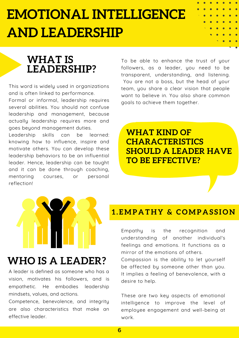## **EMOTIONAL INTELLIGENCE AND LEADERSHIP**

## **WHAT IS LEADERSHIP?**

This word is widely used in organizations and is often linked to performance.

Formal or informal, leadership requires several abilities. You should not confuse leadership and management, because actually leadership requires more and goes beyond management duties.

Leadership skills can be learned: knowing how to influence, inspire and motivate others. You can develop these leadership behaviors to be an influential leader. Hence, leadership can be taught and it can be done through coaching, mentoring courses, or personal reflection!

## **WHO IS A LEADER?**

A leader is defined as someone who has a vision, motivates his followers, and is empathetic. He embodies leadership mindsets, values, and actions.

Competence, benevolence, and integrity are also characteristics that make an effective leader.

To be able to enhance the trust of your followers, as a leader, you need to be transparent, understanding, and listening. You are not a boss, but the head of your team, you share a clear vision that people want to believe in. You also share common goals to achieve them together.

**WHAT KIND OF CHARACTERISTICS SHOULD A LEADER HAVE TO BE EFFECTIVE?**

### **1 . EMP A T H Y & C OMP A S S I O N**

Empathy is the recognition and understanding of another individual's feelings and emotions. It functions as a mirror of the emotions of others.

Compassion is the ability to let yourself be affected by someone other than you. It implies a feeling of benevolence, with a desire to help.

These are two key aspects of emotional intelligence to improve the level of employee engagement and well-being at work.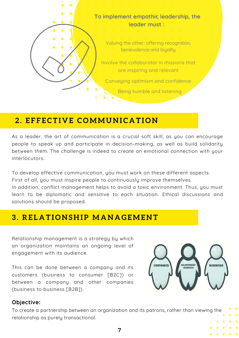

### **2 . E F F E C T I V E C OMMU N I C A T I O N**

As a leader, the art of communication is a crucial soft skill, as you can encourage people to speak up and participate in decision-making, as well as build solidarity between them. The challenge is indeed to create an emotional connection with your interlocutors.

To develop effective communication, you must work on these different aspects.

First of all, you must inspire people to continuously improve themselves.

In addition, conflict management helps to avoid a toxic environment. Thus, you must learn to be diplomatic and sensitive to each situation. Ethical discussions and solutions should be proposed.

### **3 . RE L A T I O N S H I P MA N A GEME N T**

Relationship management is a strategy by which an organization maintains an ongoing level of engagement with its audience.

This can be done between a company and its customers (business to consumer [B2C]) or between a company and other companies (business to business [B2B]).



#### **Objective:**

To create a partnership between an organization and its patrons, rather than viewing the relationship as purely transactional.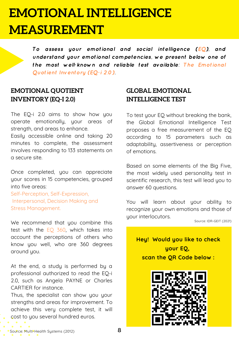## **EMOTIONAL INTELLIGENCE MEASUREMENT**

To assess your emotional and social intelligence (EQ), and understand your emotional competencies, we present below one of the most well-known and reliable test available: The Emotional Quotient Inventory (EQ-i 2.0).

#### **EMOTIONAL QUOTIENT INVENTORY (EQ-I 2.0)**

The EQ-i 2.0 aims to show how you operate emotionally, your areas of strength, and areas to enhance.

Easily accessible online and taking 20 minutes to complete, the assessment involves responding to 133 statements on a secure site.

Once completed, you can appreciate your scores in 15 competencies, grouped into five areas:

Self-Perception, Self-Expression, Interpersonal, Decision Making and Stress Management.

We recommend that you combine this test with the EQ 360, which takes into account the perceptions of others who know you well, who are 360 degrees around you.

At the end, a study is performed by a professional authorized to read the EQ-i 2.0, such as Angela PAYNE or Charles CARTIER for instance.

Thus, the specialist can show you your strengths and areas for improvement. To achieve this very complete test, it will cost to you several hundred euros.

#### **GLOBAL EMOTIONAL INTELLIGENCE TEST**

To test your EQ without breaking the bank, the Global Emotional Intelligence Test proposes a free measurement of the EQ according to 15 parameters such as adaptability, assertiveness or perception of emotions.

Based on some elements of the Big Five, the most widely used personality test in scientific research, this test will lead you to answer 60 questions.

You will learn about your ability to recognize your own emotions and those of your interlocutors.

Source: IDR-GEIT (2021)

**Hey! Would you like to check your EQ, scan the QR Code below :**